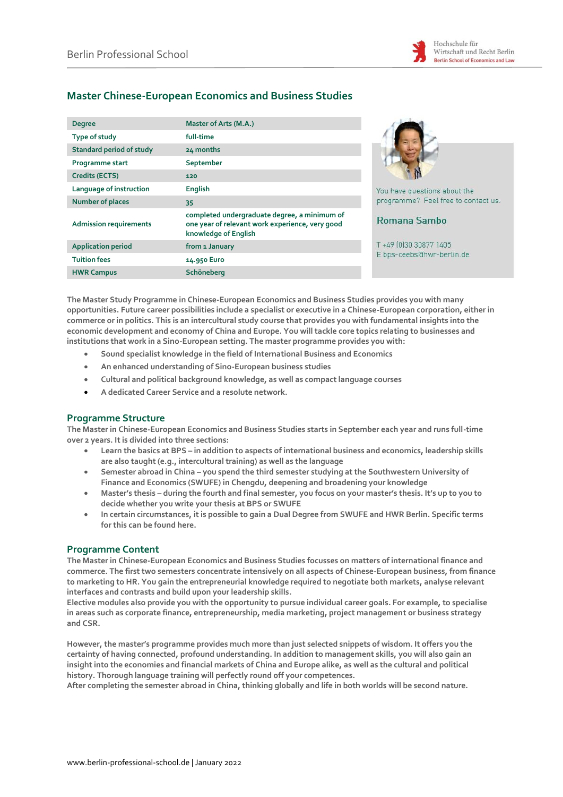

# **Master Chinese-European Economics and Business Studies**

| <b>Degree</b>                   | Master of Arts (M.A.)                                                                                                   |          |
|---------------------------------|-------------------------------------------------------------------------------------------------------------------------|----------|
| Type of study                   | full-time                                                                                                               |          |
| <b>Standard period of study</b> | 24 months                                                                                                               |          |
| Programme start                 | September                                                                                                               |          |
| Credits (ECTS)                  | 120                                                                                                                     |          |
| Language of instruction         | <b>English</b>                                                                                                          | You hat  |
| <b>Number of places</b>         | 35                                                                                                                      | progra   |
| <b>Admission requirements</b>   | completed undergraduate degree, a minimum of<br>one year of relevant work experience, very good<br>knowledge of English | Roma     |
| <b>Application period</b>       | from 1 January                                                                                                          | $T + 49$ |
| <b>Tuition fees</b>             | 14.950 Euro                                                                                                             | E bps-   |
| <b>HWR Campus</b>               | Schöneberg                                                                                                              |          |



ve questions about the mme? Feel free to contact us.

# ana Sambo

030 30877 1405 ceebs@hwr-berlin.de

**The Master Study Programme in Chinese-European Economics and Business Studies provides you with many opportunities. Future career possibilities include a specialist or executive in a Chinese-European corporation, either in commerce or in politics. This is an intercultural study course that provides you with fundamental insights into the economic development and economy of China and Europe. You will tackle core topics relating to businesses and institutions that work in a Sino-European setting. The master programme provides you with:**

- **Sound specialist knowledge in the field of International Business and Economics**
- **An enhanced understanding of Sino-European business studies**
- **Cultural and political background knowledge, as well as compact language courses**
- **A dedicated Career Service and a resolute network.**

# **Programme Structure**

**The Master in Chinese-European Economics and Business Studies starts in September each year and runs full-time over 2 years. It is divided into three sections:**

- **Learn the basics at BPS – in addition to aspects of international business and economics, leadership skills are also taught (e.g., intercultural training) as well as the language**
- **Semester abroad in China – you spend the third semester studying at the Southwestern University of Finance and Economics (SWUFE) in Chengdu, deepening and broadening your knowledge**
- **Master's thesis – during the fourth and final semester, you focus on your master's thesis. It's up to you to decide whether you write your thesis at BPS or SWUFE**
- **In certain circumstances, it is possible to gain a Dual Degree from SWUFE and HWR Berlin. Specific terms for this can be found here.**

# **Programme Content**

**The Master in Chinese-European Economics and Business Studies focusses on matters of international finance and commerce. The first two semesters concentrate intensively on all aspects of Chinese-European business, from finance to marketing to HR. You gain the entrepreneurial knowledge required to negotiate both markets, analyse relevant interfaces and contrasts and build upon your leadership skills.**

**Elective modules also provide you with the opportunity to pursue individual career goals. For example, to specialise in areas such as corporate finance, entrepreneurship, media marketing, project management or business strategy and CSR.**

**However, the master's programme provides much more than just selected snippets of wisdom. It offers you the certainty of having connected, profound understanding. In addition to management skills, you will also gain an insight into the economies and financial markets of China and Europe alike, as well as the cultural and political history. Thorough language training will perfectly round off your competences.**

**After completing the semester abroad in China, thinking globally and life in both worlds will be second nature.**